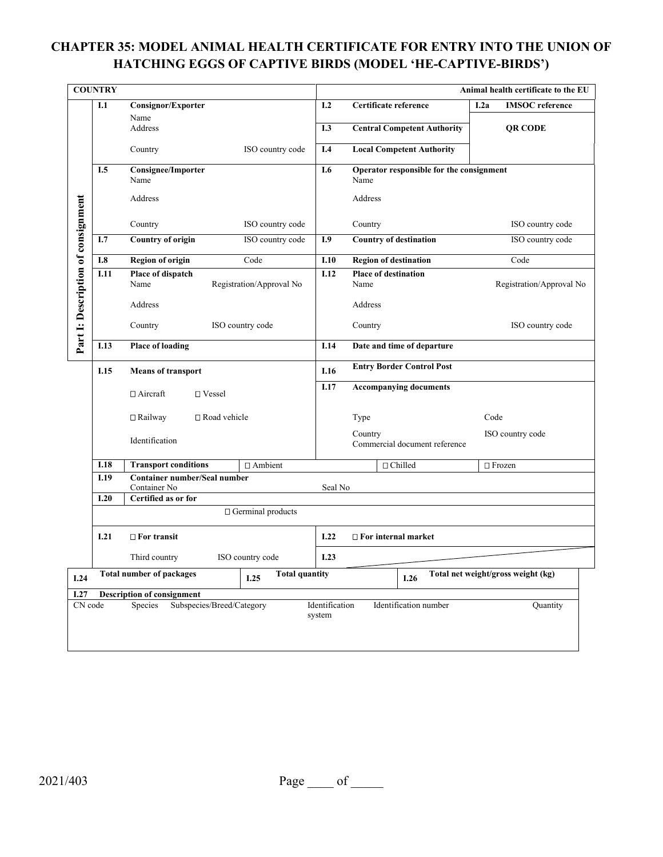## **CHAPTER 35: MODEL ANIMAL HEALTH CERTIFICATE FOR ENTRY INTO THE UNION OF HATCHING EGGS OF CAPTIVE BIRDS (MODEL 'HE-CAPTIVE-BIRDS')**

| <b>COUNTRY</b>                                                                                                   |                                   |                                              |                                                                     |                                                  | Animal health certificate to the EU |  |
|------------------------------------------------------------------------------------------------------------------|-----------------------------------|----------------------------------------------|---------------------------------------------------------------------|--------------------------------------------------|-------------------------------------|--|
|                                                                                                                  | I.1                               | Consignor/Exporter<br>Name<br>Address        |                                                                     | Certificate reference                            | <b>IMSOC</b> reference<br>I.2a      |  |
|                                                                                                                  |                                   |                                              |                                                                     | <b>Central Competent Authority</b>               | <b>QR CODE</b>                      |  |
|                                                                                                                  |                                   | ISO country code<br>Country                  | I.4                                                                 | <b>Local Competent Authority</b>                 |                                     |  |
|                                                                                                                  | I.5                               | <b>Consignee/Importer</b><br>Name            | I.6                                                                 | Operator responsible for the consignment<br>Name |                                     |  |
|                                                                                                                  |                                   | Address                                      |                                                                     | Address                                          |                                     |  |
|                                                                                                                  |                                   | ISO country code<br>Country                  |                                                                     | Country                                          | ISO country code                    |  |
|                                                                                                                  | I.7                               | <b>Country of origin</b><br>ISO country code | I.9                                                                 | <b>Country of destination</b>                    | ISO country code                    |  |
|                                                                                                                  | <b>I.8</b>                        | <b>Region of origin</b><br>Code              | I.10                                                                | <b>Region of destination</b>                     | Code                                |  |
|                                                                                                                  | I.11                              | Place of dispatch                            |                                                                     | <b>Place of destination</b>                      |                                     |  |
|                                                                                                                  |                                   | Name<br>Registration/Approval No             |                                                                     | Name                                             | Registration/Approval No            |  |
|                                                                                                                  |                                   | Address                                      |                                                                     | Address                                          |                                     |  |
| Part I: Description of consignment                                                                               |                                   | Country<br>ISO country code                  |                                                                     | Country                                          | ISO country code                    |  |
|                                                                                                                  | I.13                              | <b>Place of loading</b>                      | I.14                                                                | Date and time of departure                       |                                     |  |
|                                                                                                                  | I.15<br><b>Means of transport</b> |                                              |                                                                     | <b>Entry Border Control Post</b>                 |                                     |  |
|                                                                                                                  |                                   | $\Box$ Aircraft<br>□ Vessel                  |                                                                     | <b>Accompanying documents</b>                    |                                     |  |
|                                                                                                                  |                                   | $\Box$ Road vehicle<br>$\Box$ Railway        |                                                                     | Type                                             | Code                                |  |
|                                                                                                                  |                                   | Identification                               |                                                                     | Country<br>Commercial document reference         | ISO country code                    |  |
|                                                                                                                  | <b>I.18</b>                       | <b>Transport conditions</b><br>□ Ambient     |                                                                     | $\Box$ Chilled                                   | $\Box$ Frozen                       |  |
|                                                                                                                  | I.19                              | <b>Container number/Seal number</b>          |                                                                     |                                                  |                                     |  |
|                                                                                                                  | I.20                              | Container No<br>Certified as or for          | Seal No                                                             |                                                  |                                     |  |
|                                                                                                                  | $\Box$ Germinal products          |                                              |                                                                     |                                                  |                                     |  |
|                                                                                                                  | I.21                              | $\Box$ For transit                           |                                                                     | I.22<br>$\Box$ For internal market               |                                     |  |
|                                                                                                                  |                                   | ISO country code<br>Third country            | I.23                                                                |                                                  |                                     |  |
| I.24                                                                                                             |                                   | <b>Total number of packages</b><br>I.25      | Total net weight/gross weight (kg)<br><b>Total quantity</b><br>I.26 |                                                  |                                     |  |
| I.27                                                                                                             | <b>Description of consignment</b> |                                              |                                                                     |                                                  |                                     |  |
| CN code<br>Subspecies/Breed/Category<br>Identification<br>Identification number<br>Species<br>Quantity<br>system |                                   |                                              |                                                                     |                                                  |                                     |  |

|--|--|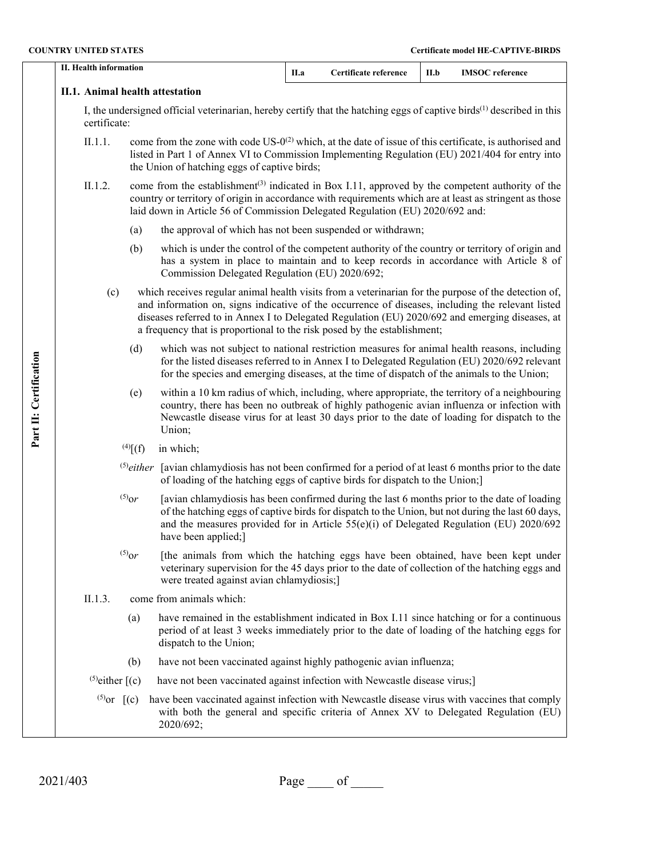| <b>COUNTRY UNITED STATES</b> |                                                                                                                                                   |                 |                                                                                                                                                                                                                                                                                                                       |                                                                                                                                                                                                                                                                                             |                                                                                                                                                                                                                                                                                                                                                                                          | <b>Certificate model HE-CAPTIVE-BIRDS</b> |                        |
|------------------------------|---------------------------------------------------------------------------------------------------------------------------------------------------|-----------------|-----------------------------------------------------------------------------------------------------------------------------------------------------------------------------------------------------------------------------------------------------------------------------------------------------------------------|---------------------------------------------------------------------------------------------------------------------------------------------------------------------------------------------------------------------------------------------------------------------------------------------|------------------------------------------------------------------------------------------------------------------------------------------------------------------------------------------------------------------------------------------------------------------------------------------------------------------------------------------------------------------------------------------|-------------------------------------------|------------------------|
|                              | <b>II. Health information</b>                                                                                                                     |                 |                                                                                                                                                                                                                                                                                                                       | II.a                                                                                                                                                                                                                                                                                        | Certificate reference                                                                                                                                                                                                                                                                                                                                                                    | II.b                                      | <b>IMSOC</b> reference |
|                              | II.1. Animal health attestation                                                                                                                   |                 |                                                                                                                                                                                                                                                                                                                       |                                                                                                                                                                                                                                                                                             |                                                                                                                                                                                                                                                                                                                                                                                          |                                           |                        |
|                              | I, the undersigned official veterinarian, hereby certify that the hatching eggs of captive birds <sup>(1)</sup> described in this<br>certificate: |                 |                                                                                                                                                                                                                                                                                                                       |                                                                                                                                                                                                                                                                                             |                                                                                                                                                                                                                                                                                                                                                                                          |                                           |                        |
|                              | II.1.1.<br>the Union of hatching eggs of captive birds;                                                                                           |                 |                                                                                                                                                                                                                                                                                                                       | come from the zone with code $US-0^{(2)}$ which, at the date of issue of this certificate, is authorised and<br>listed in Part 1 of Annex VI to Commission Implementing Regulation (EU) 2021/404 for entry into                                                                             |                                                                                                                                                                                                                                                                                                                                                                                          |                                           |                        |
|                              | II.1.2.                                                                                                                                           |                 |                                                                                                                                                                                                                                                                                                                       |                                                                                                                                                                                                                                                                                             | come from the establishment <sup>(3)</sup> indicated in Box I.11, approved by the competent authority of the<br>country or territory of origin in accordance with requirements which are at least as stringent as those<br>laid down in Article 56 of Commission Delegated Regulation (EU) 2020/692 and:                                                                                 |                                           |                        |
|                              |                                                                                                                                                   | (a)             | the approval of which has not been suspended or withdrawn;                                                                                                                                                                                                                                                            |                                                                                                                                                                                                                                                                                             |                                                                                                                                                                                                                                                                                                                                                                                          |                                           |                        |
|                              |                                                                                                                                                   | (b)             | which is under the control of the competent authority of the country or territory of origin and<br>has a system in place to maintain and to keep records in accordance with Article 8 of<br>Commission Delegated Regulation (EU) 2020/692;                                                                            |                                                                                                                                                                                                                                                                                             |                                                                                                                                                                                                                                                                                                                                                                                          |                                           |                        |
|                              | (c)                                                                                                                                               |                 |                                                                                                                                                                                                                                                                                                                       |                                                                                                                                                                                                                                                                                             | which receives regular animal health visits from a veterinarian for the purpose of the detection of,<br>and information on, signs indicative of the occurrence of diseases, including the relevant listed<br>diseases referred to in Annex I to Delegated Regulation (EU) 2020/692 and emerging diseases, at<br>a frequency that is proportional to the risk posed by the establishment; |                                           |                        |
|                              | (d)                                                                                                                                               |                 |                                                                                                                                                                                                                                                                                                                       | which was not subject to national restriction measures for animal health reasons, including<br>for the listed diseases referred to in Annex I to Delegated Regulation (EU) 2020/692 relevant<br>for the species and emerging diseases, at the time of dispatch of the animals to the Union; |                                                                                                                                                                                                                                                                                                                                                                                          |                                           |                        |
| Part II: Certification       |                                                                                                                                                   | (e)             | within a 10 km radius of which, including, where appropriate, the territory of a neighbouring<br>country, there has been no outbreak of highly pathogenic avian influenza or infection with<br>Newcastle disease virus for at least 30 days prior to the date of loading for dispatch to the<br>Union;                |                                                                                                                                                                                                                                                                                             |                                                                                                                                                                                                                                                                                                                                                                                          |                                           |                        |
|                              | $^{(4)}[f]$<br>in which;                                                                                                                          |                 |                                                                                                                                                                                                                                                                                                                       |                                                                                                                                                                                                                                                                                             |                                                                                                                                                                                                                                                                                                                                                                                          |                                           |                        |
|                              |                                                                                                                                                   | $^{(5)}$ either | [avian chlamydiosis has not been confirmed for a period of at least 6 months prior to the date<br>of loading of the hatching eggs of captive birds for dispatch to the Union;]                                                                                                                                        |                                                                                                                                                                                                                                                                                             |                                                                                                                                                                                                                                                                                                                                                                                          |                                           |                        |
|                              |                                                                                                                                                   | $^{(5)}$ or     | [avian chlamydiosis has been confirmed during the last 6 months prior to the date of loading<br>of the hatching eggs of captive birds for dispatch to the Union, but not during the last 60 days,<br>and the measures provided for in Article $55(e)(i)$ of Delegated Regulation (EU) 2020/692<br>have been applied;] |                                                                                                                                                                                                                                                                                             |                                                                                                                                                                                                                                                                                                                                                                                          |                                           |                        |
|                              |                                                                                                                                                   | $^{(5)}$ or     | [the animals from which the hatching eggs have been obtained, have been kept under<br>veterinary supervision for the 45 days prior to the date of collection of the hatching eggs and<br>were treated against avian chlamydiosis;]                                                                                    |                                                                                                                                                                                                                                                                                             |                                                                                                                                                                                                                                                                                                                                                                                          |                                           |                        |
|                              | come from animals which:<br>II.1.3.                                                                                                               |                 |                                                                                                                                                                                                                                                                                                                       |                                                                                                                                                                                                                                                                                             |                                                                                                                                                                                                                                                                                                                                                                                          |                                           |                        |
|                              |                                                                                                                                                   | (a)             | have remained in the establishment indicated in Box I.11 since hatching or for a continuous<br>period of at least 3 weeks immediately prior to the date of loading of the hatching eggs for<br>dispatch to the Union;                                                                                                 |                                                                                                                                                                                                                                                                                             |                                                                                                                                                                                                                                                                                                                                                                                          |                                           |                        |
|                              |                                                                                                                                                   | (b)             | have not been vaccinated against highly pathogenic avian influenza;                                                                                                                                                                                                                                                   |                                                                                                                                                                                                                                                                                             |                                                                                                                                                                                                                                                                                                                                                                                          |                                           |                        |
|                              | $^{(5)}$ either $[(c)]$                                                                                                                           |                 | have not been vaccinated against infection with Newcastle disease virus;]                                                                                                                                                                                                                                             |                                                                                                                                                                                                                                                                                             |                                                                                                                                                                                                                                                                                                                                                                                          |                                           |                        |
|                              | <sup>(5)</sup> or $[(c)]$                                                                                                                         |                 | have been vaccinated against infection with Newcastle disease virus with vaccines that comply<br>with both the general and specific criteria of Annex XV to Delegated Regulation (EU)<br>2020/692;                                                                                                                    |                                                                                                                                                                                                                                                                                             |                                                                                                                                                                                                                                                                                                                                                                                          |                                           |                        |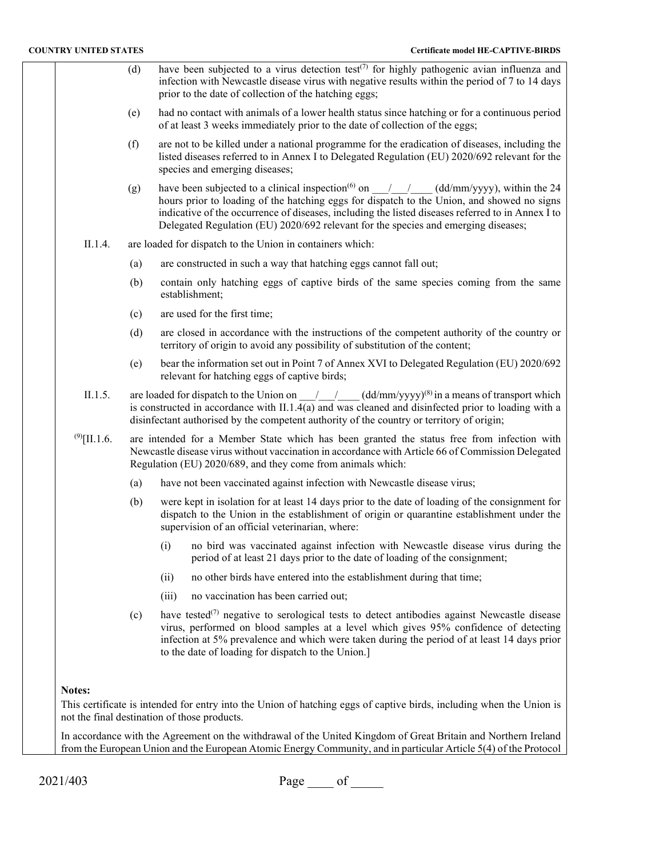- (d) have been subjected to a virus detection test<sup> $(7)$ </sup> for highly pathogenic avian influenza and infection with Newcastle disease virus with negative results within the period of 7 to 14 days prior to the date of collection of the hatching eggs;
- (e) had no contact with animals of a lower health status since hatching or for a continuous period of at least 3 weeks immediately prior to the date of collection of the eggs;
- (f) are not to be killed under a national programme for the eradication of diseases, including the listed diseases referred to in Annex I to Delegated Regulation (EU) 2020/692 relevant for the species and emerging diseases;
- (g) have been subjected to a clinical inspection<sup>(6)</sup> on  $\frac{1}{\sqrt{2}}$  (dd/mm/yyyy), within the 24 hours prior to loading of the hatching eggs for dispatch to the Union, and showed no signs indicative of the occurrence of diseases, including the listed diseases referred to in Annex I to Delegated Regulation (EU) 2020/692 relevant for the species and emerging diseases;
- II.1.4. are loaded for dispatch to the Union in containers which:
	- (a) are constructed in such a way that hatching eggs cannot fall out;
	- (b) contain only hatching eggs of captive birds of the same species coming from the same establishment;
	- (c) are used for the first time;
	- (d) are closed in accordance with the instructions of the competent authority of the country or territory of origin to avoid any possibility of substitution of the content;
	- (e) bear the information set out in Point 7 of Annex XVI to Delegated Regulation (EU) 2020/692 relevant for hatching eggs of captive birds;
- II.1.5. are loaded for dispatch to the Union on  $\frac{1}{2}$  (dd/mm/yyyy)<sup>(8)</sup> in a means of transport which is constructed in accordance with II.1.4(a) and was cleaned and disinfected prior to loading with a disinfectant authorised by the competent authority of the country or territory of origin;
- $^{(9)}$ [II.1.6. are intended for a Member State which has been granted the status free from infection with Newcastle disease virus without vaccination in accordance with Article 66 of Commission Delegated Regulation (EU) 2020/689, and they come from animals which:
	- (a) have not been vaccinated against infection with Newcastle disease virus;
	- (b) were kept in isolation for at least 14 days prior to the date of loading of the consignment for dispatch to the Union in the establishment of origin or quarantine establishment under the supervision of an official veterinarian, where:
		- (i) no bird was vaccinated against infection with Newcastle disease virus during the period of at least 21 days prior to the date of loading of the consignment;
		- (ii) no other birds have entered into the establishment during that time;
		- (iii) no vaccination has been carried out;
	- (c) have tested<sup>(7)</sup> negative to serological tests to detect antibodies against Newcastle disease virus, performed on blood samples at a level which gives 95% confidence of detecting infection at 5% prevalence and which were taken during the period of at least 14 days prior to the date of loading for dispatch to the Union.]

## **Notes:**

This certificate is intended for entry into the Union of hatching eggs of captive birds, including when the Union is not the final destination of those products.

In accordance with the Agreement on the withdrawal of the United Kingdom of Great Britain and Northern Ireland from the European Union and the European Atomic Energy Community, and in particular Article 5(4) of the Protocol

2021/403 Page of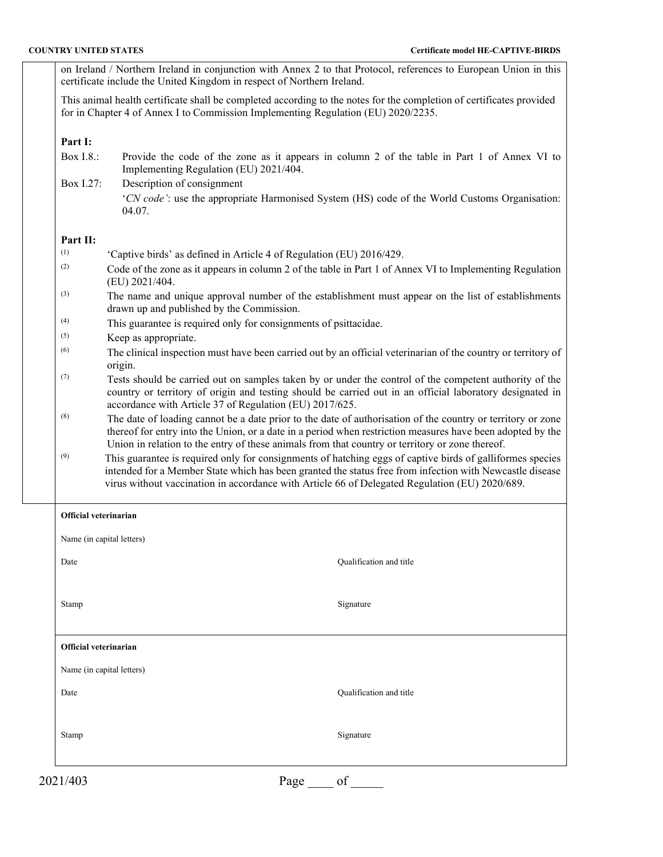on Ireland / Northern Ireland in conjunction with Annex 2 to that Protocol, references to European Union in this certificate include the United Kingdom in respect of Northern Ireland.

This animal health certificate shall be completed according to the notes for the completion of certificates provided for in Chapter 4 of Annex I to Commission Implementing Regulation (EU) 2020/2235.

## **Part I:**

- Box I.8.: Provide the code of the zone as it appears in column 2 of the table in Part 1 of Annex VI to Implementing Regulation (EU) 2021/404.
- Box I.27: Description of consignment '*CN code'*: use the appropriate Harmonised System (HS) code of the World Customs Organisation: 04.07.

## **Part II:**

| (1) | 'Captive birds' as defined in Article 4 of Regulation (EU) 2016/429.                                                                                                                                                                                                                                                         |
|-----|------------------------------------------------------------------------------------------------------------------------------------------------------------------------------------------------------------------------------------------------------------------------------------------------------------------------------|
| (2) | Code of the zone as it appears in column 2 of the table in Part 1 of Annex VI to Implementing Regulation<br>(EU) 2021/404.                                                                                                                                                                                                   |
| (3) | The name and unique approval number of the establishment must appear on the list of establishments<br>drawn up and published by the Commission.                                                                                                                                                                              |
| (4) | This guarantee is required only for consignments of psittacidae.                                                                                                                                                                                                                                                             |
| (5) | Keep as appropriate.                                                                                                                                                                                                                                                                                                         |
| (6) | The clinical inspection must have been carried out by an official veterinarian of the country or territory of<br>origin.                                                                                                                                                                                                     |
| (7) | Tests should be carried out on samples taken by or under the control of the competent authority of the<br>country or territory of origin and testing should be carried out in an official laboratory designated in<br>accordance with Article 37 of Regulation (EU) 2017/625.                                                |
| (8) | The date of loading cannot be a date prior to the date of authorisation of the country or territory or zone<br>thereof for entry into the Union, or a date in a period when restriction measures have been adopted by the<br>Union in relation to the entry of these animals from that country or territory or zone thereof. |
| (9) | This guarantee is required only for consignments of hatching eggs of captive birds of galliformes species<br>intended for a Member State which has been granted the status free from infection with Newcastle disease                                                                                                        |

virus without vaccination in accordance with Article 66 of Delegated Regulation (EU) 2020/689.

| Official veterinarian     |      |                         |
|---------------------------|------|-------------------------|
| Name (in capital letters) |      |                         |
| Date                      |      | Qualification and title |
|                           |      |                         |
| Stamp                     |      | Signature               |
|                           |      |                         |
| Official veterinarian     |      |                         |
| Name (in capital letters) |      |                         |
| Date                      |      | Qualification and title |
|                           |      |                         |
| Stamp                     |      | Signature               |
|                           |      |                         |
| 2021/403                  | Page | of                      |